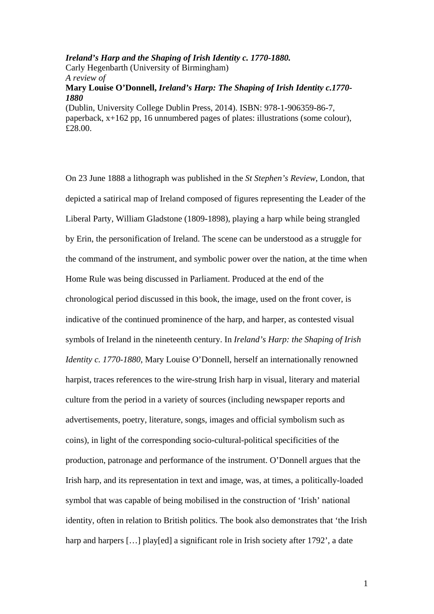*Ireland's Harp and the Shaping of Irish Identity c. 1770-1880.*  Carly Hegenbarth (University of Birmingham) *A review of*  **Mary Louise O'Donnell,** *Ireland's Harp: The Shaping of Irish Identity c.1770- 1880*  (Dublin, University College Dublin Press, 2014). ISBN: 978-1-906359-86-7, paperback, x+162 pp, 16 unnumbered pages of plates: illustrations (some colour), £28.00.

On 23 June 1888 a lithograph was published in the *St Stephen's Review*, London, that depicted a satirical map of Ireland composed of figures representing the Leader of the Liberal Party, William Gladstone (1809-1898), playing a harp while being strangled by Erin, the personification of Ireland. The scene can be understood as a struggle for the command of the instrument, and symbolic power over the nation, at the time when Home Rule was being discussed in Parliament. Produced at the end of the chronological period discussed in this book, the image, used on the front cover, is indicative of the continued prominence of the harp, and harper, as contested visual symbols of Ireland in the nineteenth century. In *Ireland's Harp: the Shaping of Irish Identity c. 1770-1880*, Mary Louise O'Donnell, herself an internationally renowned harpist, traces references to the wire-strung Irish harp in visual, literary and material culture from the period in a variety of sources (including newspaper reports and advertisements, poetry, literature, songs, images and official symbolism such as coins), in light of the corresponding socio-cultural-political specificities of the production, patronage and performance of the instrument. O'Donnell argues that the Irish harp, and its representation in text and image, was, at times, a politically-loaded symbol that was capable of being mobilised in the construction of 'Irish' national identity, often in relation to British politics. The book also demonstrates that 'the Irish harp and harpers [...] play[ed] a significant role in Irish society after 1792', a date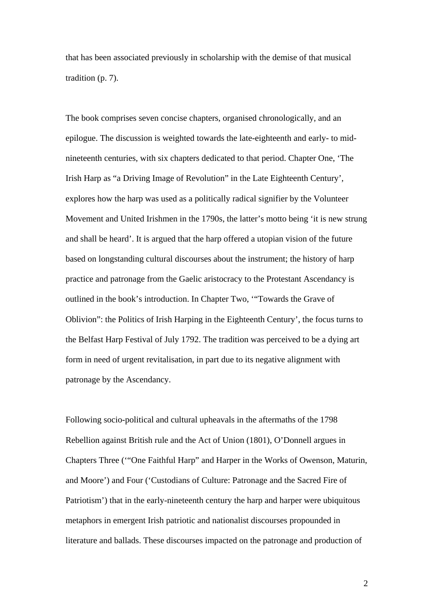that has been associated previously in scholarship with the demise of that musical tradition (p. 7).

The book comprises seven concise chapters, organised chronologically, and an epilogue. The discussion is weighted towards the late-eighteenth and early- to midnineteenth centuries, with six chapters dedicated to that period. Chapter One, 'The Irish Harp as "a Driving Image of Revolution" in the Late Eighteenth Century', explores how the harp was used as a politically radical signifier by the Volunteer Movement and United Irishmen in the 1790s, the latter's motto being 'it is new strung and shall be heard'. It is argued that the harp offered a utopian vision of the future based on longstanding cultural discourses about the instrument; the history of harp practice and patronage from the Gaelic aristocracy to the Protestant Ascendancy is outlined in the book's introduction. In Chapter Two, '"Towards the Grave of Oblivion": the Politics of Irish Harping in the Eighteenth Century', the focus turns to the Belfast Harp Festival of July 1792. The tradition was perceived to be a dying art form in need of urgent revitalisation, in part due to its negative alignment with patronage by the Ascendancy.

Following socio-political and cultural upheavals in the aftermaths of the 1798 Rebellion against British rule and the Act of Union (1801), O'Donnell argues in Chapters Three ('"One Faithful Harp" and Harper in the Works of Owenson, Maturin, and Moore') and Four ('Custodians of Culture: Patronage and the Sacred Fire of Patriotism') that in the early-nineteenth century the harp and harper were ubiquitous metaphors in emergent Irish patriotic and nationalist discourses propounded in literature and ballads. These discourses impacted on the patronage and production of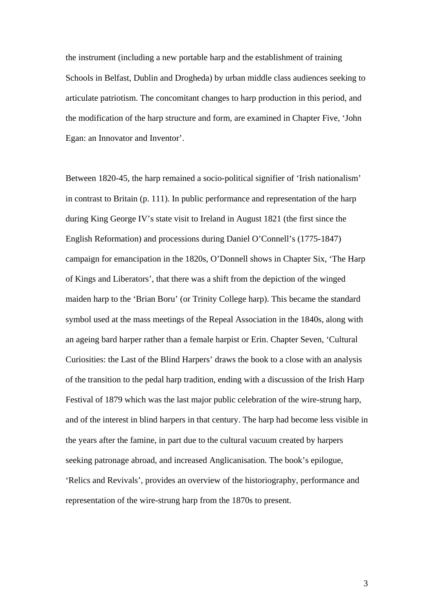the instrument (including a new portable harp and the establishment of training Schools in Belfast, Dublin and Drogheda) by urban middle class audiences seeking to articulate patriotism. The concomitant changes to harp production in this period, and the modification of the harp structure and form, are examined in Chapter Five, 'John Egan: an Innovator and Inventor'.

Between 1820-45, the harp remained a socio-political signifier of 'Irish nationalism' in contrast to Britain (p. 111). In public performance and representation of the harp during King George IV's state visit to Ireland in August 1821 (the first since the English Reformation) and processions during Daniel O'Connell's (1775-1847) campaign for emancipation in the 1820s, O'Donnell shows in Chapter Six, 'The Harp of Kings and Liberators', that there was a shift from the depiction of the winged maiden harp to the 'Brian Boru' (or Trinity College harp). This became the standard symbol used at the mass meetings of the Repeal Association in the 1840s, along with an ageing bard harper rather than a female harpist or Erin. Chapter Seven, 'Cultural Curiosities: the Last of the Blind Harpers' draws the book to a close with an analysis of the transition to the pedal harp tradition, ending with a discussion of the Irish Harp Festival of 1879 which was the last major public celebration of the wire-strung harp, and of the interest in blind harpers in that century. The harp had become less visible in the years after the famine, in part due to the cultural vacuum created by harpers seeking patronage abroad, and increased Anglicanisation. The book's epilogue, 'Relics and Revivals', provides an overview of the historiography, performance and representation of the wire-strung harp from the 1870s to present.